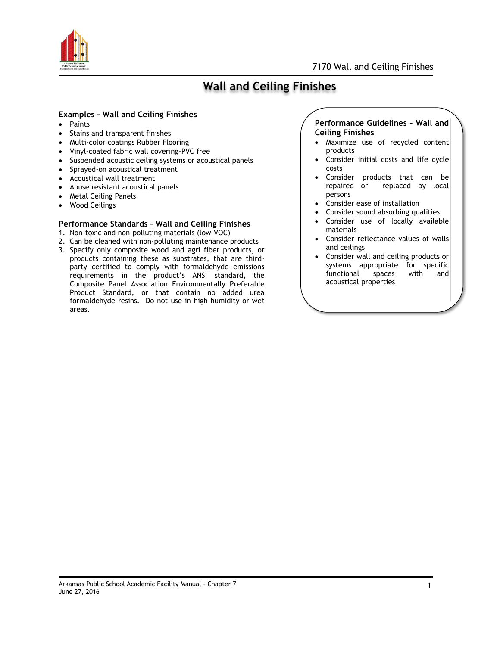

## **Wall and Ceiling Finishes**

### **Examples – Wall and Ceiling Finishes**

- Paints
- Stains and transparent finishes
- Multi-color coatings Rubber Flooring
- Vinyl-coated fabric wall covering-PVC free
- Suspended acoustic ceiling systems or acoustical panels
- Sprayed-on acoustical treatment
- Acoustical wall treatment
- Abuse resistant acoustical panels
- Metal Ceiling Panels
- Wood Ceilings

#### **Performance Standards – Wall and Ceiling Finishes**

- 1. Non-toxic and non-polluting materials (low-VOC)
- 2. Can be cleaned with non-polluting maintenance products
- 3. Specify only composite wood and agri fiber products, or products containing these as substrates, that are thirdparty certified to comply with formaldehyde emissions requirements in the product's ANSI standard, the Composite Panel Association Environmentally Preferable Product Standard, or that contain no added urea formaldehyde resins. Do not use in high humidity or wet areas.

### **Performance Guidelines – Wall and Ceiling Finishes**

- Maximize use of recycled content products
- Consider initial costs and life cycle costs
- Consider products that can be repaired or replaced by local persons
- Consider ease of installation
- Consider sound absorbing qualities
- Consider use of locally available materials
- Consider reflectance values of walls and ceilings
- Consider wall and ceiling products or systems appropriate for specific functional spaces with and acoustical properties

#### Arkansas Public School Academic Facility Manual - Chapter 7 June 27, 2016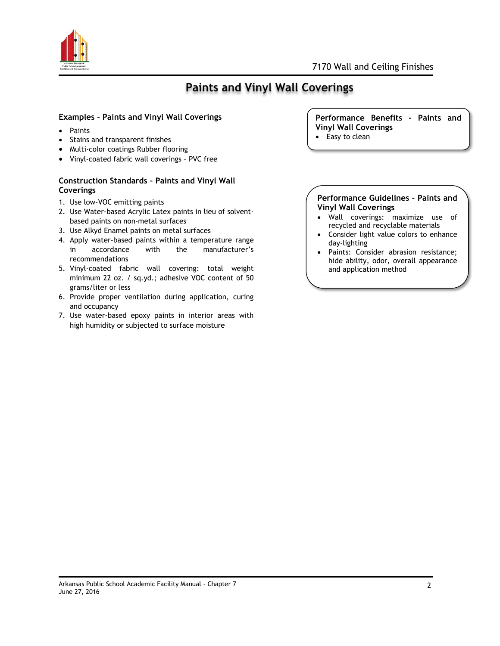

# **Paints and Vinyl Wall Coverings**

## **Examples – Paints and Vinyl Wall Coverings**

- Paints
- Stains and transparent finishes
- Multi-color coatings Rubber flooring
- Vinyl-coated fabric wall coverings PVC free

## **Construction Standards – Paints and Vinyl Wall Coverings**

- 1. Use low-VOC emitting paints
- 2. Use Water-based Acrylic Latex paints in lieu of solventbased paints on non-metal surfaces
- 3. Use Alkyd Enamel paints on metal surfaces
- 4. Apply water-based paints within a temperature range in accordance with the manufacturer's recommendations
- 5. Vinyl-coated fabric wall covering: total weight minimum 22 oz. / sq.yd.; adhesive VOC content of 50 grams/liter or less
- 6. Provide proper ventilation during application, curing and occupancy
- 7. Use water-based epoxy paints in interior areas with high humidity or subjected to surface moisture

#### **Performance Benefits - Paints and Vinyl Wall Coverings**

• Easy to clean

#### **Performance Guidelines - Paints and Vinyl Wall Coverings**

- Wall coverings: maximize use of recycled and recyclable materials
- Consider light value colors to enhance day-lighting
- Paints: Consider abrasion resistance; hide ability, odor, overall appearance and application method